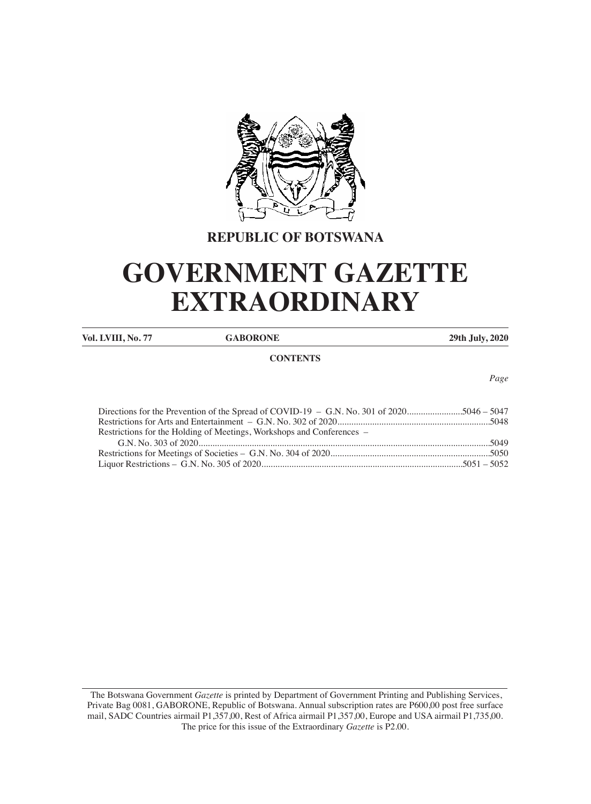

# **REPUBLIC OF BOTSWANA**

# **GOVERNMENT GAZETTE EXTRAORDINARY**

**Vol. LVIII, No. 77 GABORONE 29th July, 2020**

# **CONTENTS**

*Page*

| Directions for the Prevention of the Spread of COVID-19 – G.N. No. 301 of 20205046 – 5047 |
|-------------------------------------------------------------------------------------------|
|                                                                                           |
| Restrictions for the Holding of Meetings, Workshops and Conferences –                     |
|                                                                                           |
|                                                                                           |
|                                                                                           |
|                                                                                           |

 The Botswana Government *Gazette* is printed by Department of Government Printing and Publishing Services, Private Bag 0081, GABORONE, Republic of Botswana. Annual subscription rates are P600,00 post free surface mail, SADC Countries airmail P1,357,00, Rest of Africa airmail P1,357,00, Europe and USA airmail P1,735,00. The price for this issue of the Extraordinary *Gazette* is P2.00.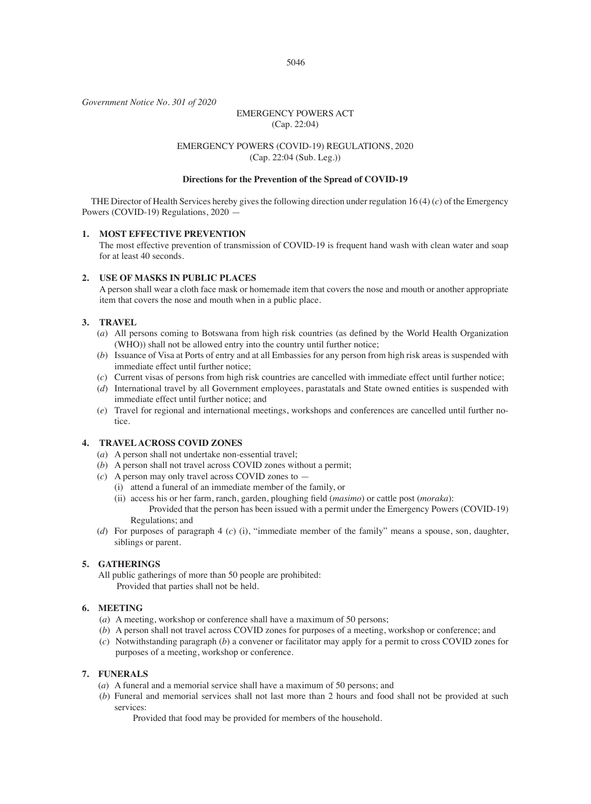*Government Notice No. 301 of 2020*

# EMERGENCY POWERS ACT (Cap. 22:04)

# EMERGENCY POWERS (COVID-19) REGULATIONS, 2020 (Cap. 22:04 (Sub. Leg.))

#### **Directions for the Prevention of the Spread of COVID-19**

THE Director of Health Services hereby gives the following direction under regulation 16 (4) (*c*) of the Emergency Powers (COVID-19) Regulations, 2020 -

# **1. MOST EFFECTIVE PREVENTION**

The most effective prevention of transmission of COVID-19 is frequent hand wash with clean water and soap for at least 40 seconds.

# **2. USE OF MASKS IN PUBLIC PLACES**

A person shall wear a cloth face mask or homemade item that covers the nose and mouth or another appropriate item that covers the nose and mouth when in a public place.

# **3. TRAVEL**

- (*a*) All persons coming to Botswana from high risk countries (as defined by the World Health Organization (WHO)) shall not be allowed entry into the country until further notice;
- (*b*) Issuance of Visa at Ports of entry and at all Embassies for any person from high risk areas is suspended with immediate effect until further notice;
- (*c*) Current visas of persons from high risk countries are cancelled with immediate effect until further notice;
- (*d*) International travel by all Government employees, parastatals and State owned entities is suspended with immediate effect until further notice; and
- (*e*) Travel for regional and international meetings, workshops and conferences are cancelled until further notice.

# **4. TRAVEL ACROSS COVID ZONES**

- (*a*) A person shall not undertake non-essential travel;
- (*b*) A person shall not travel across COVID zones without a permit;
- (*c*) A person may only travel across COVID zones to
	- (i) attend a funeral of an immediate member of the family, or
	- (ii) access his or her farm, ranch, garden, ploughing field (*masimo*) or cattle post (*moraka*): Provided that the person has been issued with a permit under the Emergency Powers (COVID-19) Regulations; and
- (*d*) For purposes of paragraph 4 (*c*) (i), "immediate member of the family" means a spouse, son, daughter, siblings or parent.

# **5. GATHERINGS**

All public gatherings of more than 50 people are prohibited: Provided that parties shall not be held.

# **6. MEETING**

- (*a*) A meeting, workshop or conference shall have a maximum of 50 persons;
- (*b*) A person shall not travel across COVID zones for purposes of a meeting, workshop or conference; and
- (*c*) Notwithstanding paragraph (*b*) a convener or facilitator may apply for a permit to cross COVID zones for purposes of a meeting, workshop or conference.

# **7. FUNERALS**

- (*a*) A funeral and a memorial service shall have a maximum of 50 persons; and
- (*b*) Funeral and memorial services shall not last more than 2 hours and food shall not be provided at such services:

Provided that food may be provided for members of the household.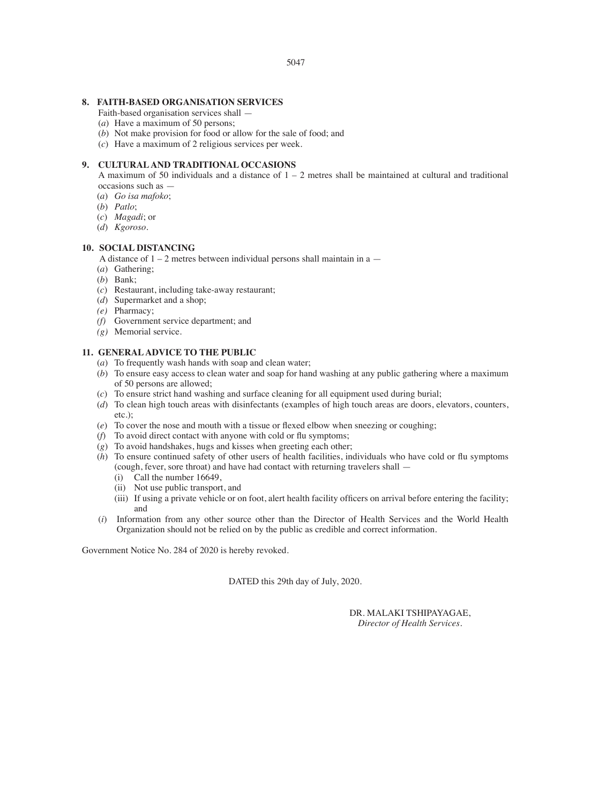#### **8. FAITH-BASED ORGANISATION SERVICES**

- Faith-based organisation services shall —
- (*a*) Have a maximum of 50 persons;
- (*b*) Not make provision for food or allow for the sale of food; and
- (*c*) Have a maximum of 2 religious services per week.

# **9. CULTURAL AND TRADITIONAL OCCASIONS**

A maximum of 50 individuals and a distance of  $1 - 2$  metres shall be maintained at cultural and traditional occasions such as —

- (*a*) *Go isa mafoko*;
- (*b*) *Patlo*;
- (*c*) *Magadi*; or
- (*d*) *Kgoroso*.

# **10. SOCIAL DISTANCING**

A distance of  $1 - 2$  metres between individual persons shall maintain in a  $-$ 

- (*a*) Gathering;
- (*b*) Bank;
- (*c*) Restaurant, including take-away restaurant;
- (*d*) Supermarket and a shop;
- *(e)* Pharmacy;
- *(f)* Government service department; and
- *(g)* Memorial service.

# **11. GENERAL ADVICE TO THE PUBLIC**

- (*a*) To frequently wash hands with soap and clean water;
- (*b*) To ensure easy access to clean water and soap for hand washing at any public gathering where a maximum of 50 persons are allowed;
- (*c*) To ensure strict hand washing and surface cleaning for all equipment used during burial;
- (*d*) To clean high touch areas with disinfectants (examples of high touch areas are doors, elevators, counters, etc.);
- (*e*) To cover the nose and mouth with a tissue or flexed elbow when sneezing or coughing;
- $(f)$  To avoid direct contact with anyone with cold or flu symptoms;
- (*g*) To avoid handshakes, hugs and kisses when greeting each other;
- $(h)$  To ensure continued safety of other users of health facilities, individuals who have cold or flu symptoms (cough, fever, sore throat) and have had contact with returning travelers shall —
	- (i) Call the number 16649,
	- (ii) Not use public transport, and
	- (iii) If using a private vehicle or on foot, alert health facility officers on arrival before entering the facility; and
- (*i*) Information from any other source other than the Director of Health Services and the World Health Organization should not be relied on by the public as credible and correct information.

Government Notice No. 284 of 2020 is hereby revoked.

DATED this 29th day of July, 2020.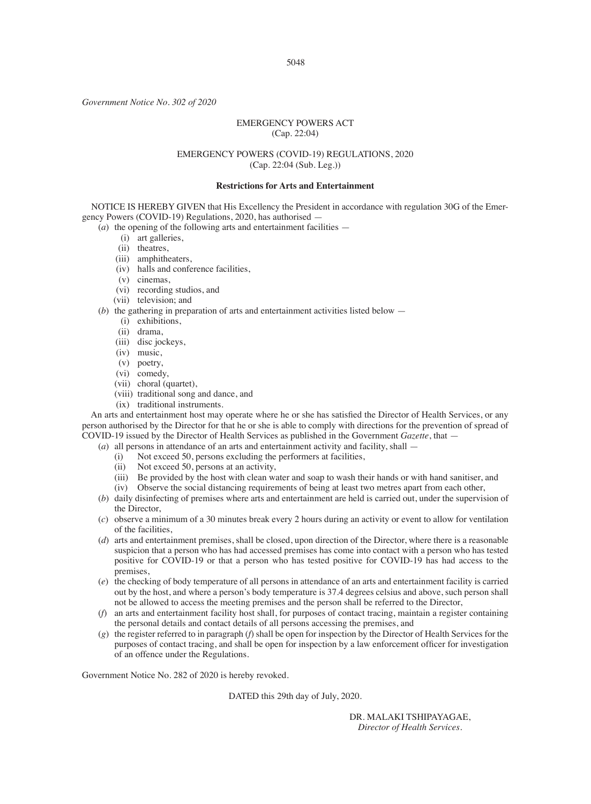*Government Notice No. 302 of 2020*

#### EMERGENCY POWERS ACT (Cap. 22:04)

# EMERGENCY POWERS (COVID-19) REGULATIONS, 2020 (Cap. 22:04 (Sub. Leg.))

#### **Restrictions for Arts and Entertainment**

NOTICE IS HEREBY GIVEN that His Excellency the President in accordance with regulation 30G of the Emergency Powers (COVID-19) Regulations, 2020, has authorised —

 $(a)$  the opening of the following arts and entertainment facilities —

- (i) art galleries,
- (ii) theatres,
- (iii) amphitheaters,
- (iv) halls and conference facilities,
- (v) cinemas,
- (vi) recording studios, and
- (vii) television; and
- (*b*) the gathering in preparation of arts and entertainment activities listed below
	- (i) exhibitions,
	- (ii) drama,
	- (iii) disc jockeys,
	- (iv) music,
	- (v) poetry,
	- (vi) comedy,
	- (vii) choral (quartet),
	- (viii) traditional song and dance, and
	- (ix) traditional instruments.

An arts and entertainment host may operate where he or she has satisfied the Director of Health Services, or any person authorised by the Director for that he or she is able to comply with directions for the prevention of spread of COVID-19 issued by the Director of Health Services as published in the Government *Gazette*, that —

- (*a*) all persons in attendance of an arts and entertainment activity and facility, shall
	- (i) Not exceed 50, persons excluding the performers at facilities,<br>(ii) Not exceed 50, persons at an activity.
	- Not exceed 50, persons at an activity,
	- (iii) Be provided by the host with clean water and soap to wash their hands or with hand sanitiser, and
	- (iv) Observe the social distancing requirements of being at least two metres apart from each other,
- (*b*) daily disinfecting of premises where arts and entertainment are held is carried out, under the supervision of the Director
- (*c*) observe a minimum of a 30 minutes break every 2 hours during an activity or event to allow for ventilation of the facilities,
- (*d*) arts and entertainment premises, shall be closed, upon direction of the Director, where there is a reasonable suspicion that a person who has had accessed premises has come into contact with a person who has tested positive for COVID-19 or that a person who has tested positive for COVID-19 has had access to the premises,
- (*e*) the checking of body temperature of all persons in attendance of an arts and entertainment facility is carried out by the host, and where a person's body temperature is 37.4 degrees celsius and above, such person shall not be allowed to access the meeting premises and the person shall be referred to the Director,
- (*f*) an arts and entertainment facility host shall, for purposes of contact tracing, maintain a register containing the personal details and contact details of all persons accessing the premises, and
- (*g*) the register referred to in paragraph (*f*) shall be open for inspection by the Director of Health Services for the purposes of contact tracing, and shall be open for inspection by a law enforcement officer for investigation of an offence under the Regulations.

Government Notice No. 282 of 2020 is hereby revoked.

DATED this 29th day of July, 2020.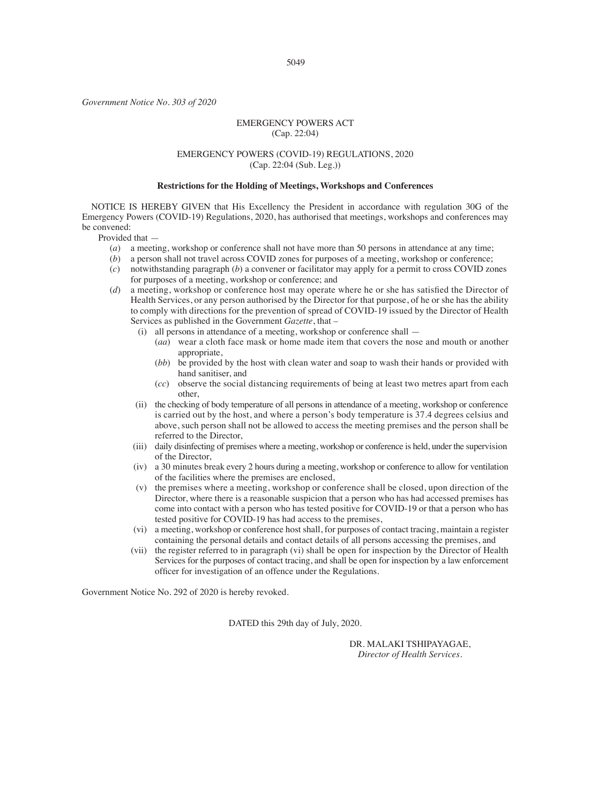*Government Notice No. 303 of 2020*

# EMERGENCY POWERS ACT (Cap. 22:04)

# EMERGENCY POWERS (COVID-19) REGULATIONS, 2020 (Cap. 22:04 (Sub. Leg.))

#### **Restrictions for the Holding of Meetings, Workshops and Conferences**

NOTICE IS HEREBY GIVEN that His Excellency the President in accordance with regulation 30G of the Emergency Powers (COVID-19) Regulations, 2020, has authorised that meetings, workshops and conferences may be convened:

Provided that —

- (*a*) a meeting, workshop or conference shall not have more than 50 persons in attendance at any time;
- (*b*) a person shall not travel across COVID zones for purposes of a meeting, workshop or conference;
- (*c*) notwithstanding paragraph (*b*) a convener or facilitator may apply for a permit to cross COVID zones for purposes of a meeting, workshop or conference; and
- (*d*) a meeting, workshop or conference host may operate where he or she has satisfied the Director of Health Services, or any person authorised by the Director for that purpose, of he or she has the ability to comply with directions for the prevention of spread of COVID-19 issued by the Director of Health Services as published in the Government *Gazette*, that –
	- (i) all persons in attendance of a meeting, workshop or conference shall
		- (*aa*) wear a cloth face mask or home made item that covers the nose and mouth or another appropriate,
		- (*bb*) be provided by the host with clean water and soap to wash their hands or provided with hand sanitiser, and
		- (*cc*) observe the social distancing requirements of being at least two metres apart from each other,
	- (ii) the checking of body temperature of all persons in attendance of a meeting, workshop or conference is carried out by the host, and where a person's body temperature is 37.4 degrees celsius and above, such person shall not be allowed to access the meeting premises and the person shall be referred to the Director,
	- (iii) daily disinfecting of premises where a meeting, workshop or conference is held, under the supervision of the Director,
	- (iv) a 30 minutes break every 2 hours during a meeting, workshop or conference to allow for ventilation of the facilities where the premises are enclosed,
	- (v) the premises where a meeting, workshop or conference shall be closed, upon direction of the Director, where there is a reasonable suspicion that a person who has had accessed premises has come into contact with a person who has tested positive for COVID-19 or that a person who has tested positive for COVID-19 has had access to the premises,
	- (vi) a meeting, workshop or conference host shall, for purposes of contact tracing, maintain a register containing the personal details and contact details of all persons accessing the premises, and
	- (vii) the register referred to in paragraph (vi) shall be open for inspection by the Director of Health Services for the purposes of contact tracing, and shall be open for inspection by a law enforcement officer for investigation of an offence under the Regulations.

Government Notice No. 292 of 2020 is hereby revoked.

DATED this 29th day of July, 2020.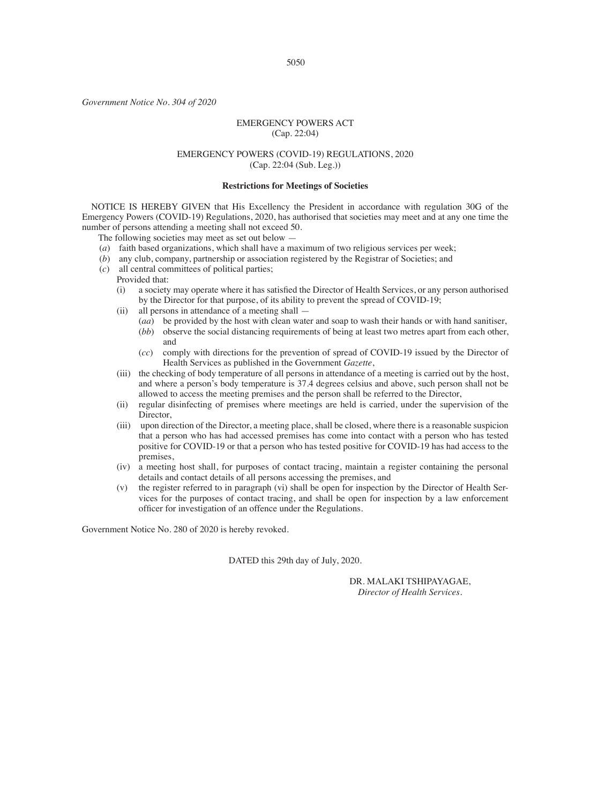*Government Notice No. 304 of 2020*

# EMERGENCY POWERS ACT (Cap. 22:04)

# EMERGENCY POWERS (COVID-19) REGULATIONS, 2020 (Cap. 22:04 (Sub. Leg.))

#### **Restrictions for Meetings of Societies**

NOTICE IS HEREBY GIVEN that His Excellency the President in accordance with regulation 30G of the Emergency Powers (COVID-19) Regulations, 2020, has authorised that societies may meet and at any one time the number of persons attending a meeting shall not exceed 50.

The following societies may meet as set out below —

- (*a*) faith based organizations, which shall have a maximum of two religious services per week;
- (*b*) any club, company, partnership or association registered by the Registrar of Societies; and
- (*c*) all central committees of political parties;
	- Provided that:<br>(i) a society
		- a society may operate where it has satisfied the Director of Health Services, or any person authorised by the Director for that purpose, of its ability to prevent the spread of COVID-19;
		- (ii) all persons in attendance of a meeting shall
			- (*aa*) be provided by the host with clean water and soap to wash their hands or with hand sanitiser, (*bb*) observe the social distancing requirements of being at least two metres apart from each other,
			- and
			- (*cc*) comply with directions for the prevention of spread of COVID-19 issued by the Director of Health Services as published in the Government *Gazette*,
		- (iii) the checking of body temperature of all persons in attendance of a meeting is carried out by the host, and where a person's body temperature is 37.4 degrees celsius and above, such person shall not be allowed to access the meeting premises and the person shall be referred to the Director,
		- (ii) regular disinfecting of premises where meetings are held is carried, under the supervision of the Director,
		- (iii) upon direction of the Director, a meeting place, shall be closed, where there is a reasonable suspicion that a person who has had accessed premises has come into contact with a person who has tested positive for COVID-19 or that a person who has tested positive for COVID-19 has had access to the premises,
		- (iv) a meeting host shall, for purposes of contact tracing, maintain a register containing the personal details and contact details of all persons accessing the premises, and
		- (v) the register referred to in paragraph (vi) shall be open for inspection by the Director of Health Services for the purposes of contact tracing, and shall be open for inspection by a law enforcement officer for investigation of an offence under the Regulations.

Government Notice No. 280 of 2020 is hereby revoked.

DATED this 29th day of July, 2020.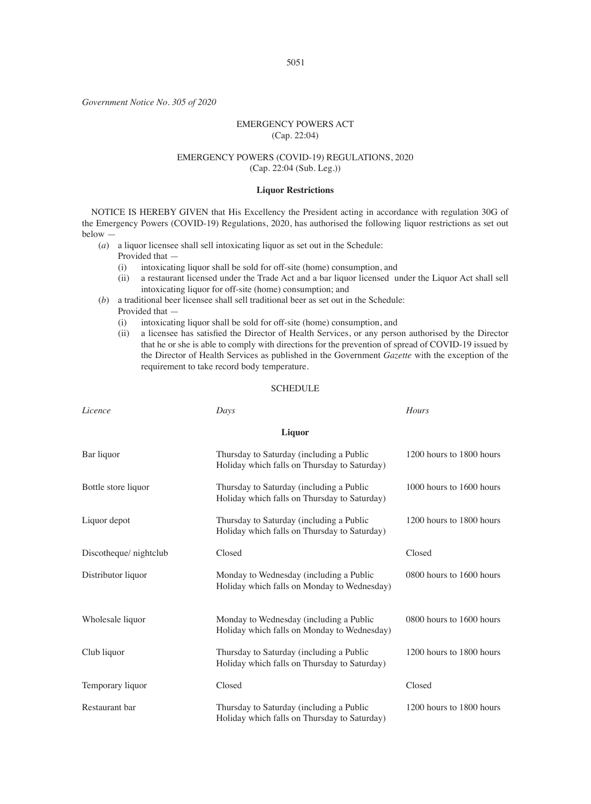*Government Notice No. 305 of 2020*

# EMERGENCY POWERS ACT (Cap. 22:04)

# EMERGENCY POWERS (COVID-19) REGULATIONS, 2020 (Cap. 22:04 (Sub. Leg.))

#### **Liquor Restrictions**

NOTICE IS HEREBY GIVEN that His Excellency the President acting in accordance with regulation 30G of the Emergency Powers (COVID-19) Regulations, 2020, has authorised the following liquor restrictions as set out below —

(*a*) a liquor licensee shall sell intoxicating liquor as set out in the Schedule:

Provided that —

- (i) intoxicating liquor shall be sold for off-site (home) consumption, and
- (ii) a restaurant licensed under the Trade Act and a bar liquor licensed under the Liquor Act shall sell intoxicating liquor for off-site (home) consumption; and
- (*b*) a traditional beer licensee shall sell traditional beer as set out in the Schedule: Provided that —
	- (i) intoxicating liquor shall be sold for off-site (home) consumption, and (ii) a licensee has satisfied the Director of Health Services, or any person
	- a licensee has satisfied the Director of Health Services, or any person authorised by the Director that he or she is able to comply with directions for the prevention of spread of COVID-19 issued by the Director of Health Services as published in the Government *Gazette* with the exception of the requirement to take record body temperature.

#### SCHEDULE

| Licence               | Days                                                                                     | Hours                    |
|-----------------------|------------------------------------------------------------------------------------------|--------------------------|
| Liquor                |                                                                                          |                          |
| Bar liquor            | Thursday to Saturday (including a Public<br>Holiday which falls on Thursday to Saturday) | 1200 hours to 1800 hours |
| Bottle store liquor   | Thursday to Saturday (including a Public<br>Holiday which falls on Thursday to Saturday) | 1000 hours to 1600 hours |
| Liquor depot          | Thursday to Saturday (including a Public<br>Holiday which falls on Thursday to Saturday) | 1200 hours to 1800 hours |
| Discotheque/nightclub | Closed                                                                                   | Closed                   |
| Distributor liquor    | Monday to Wednesday (including a Public<br>Holiday which falls on Monday to Wednesday)   | 0800 hours to 1600 hours |
| Wholesale liquor      | Monday to Wednesday (including a Public<br>Holiday which falls on Monday to Wednesday)   | 0800 hours to 1600 hours |
| Club liquor           | Thursday to Saturday (including a Public<br>Holiday which falls on Thursday to Saturday) | 1200 hours to 1800 hours |
| Temporary liquor      | Closed                                                                                   | Closed                   |
| Restaurant bar        | Thursday to Saturday (including a Public<br>Holiday which falls on Thursday to Saturday) | 1200 hours to 1800 hours |